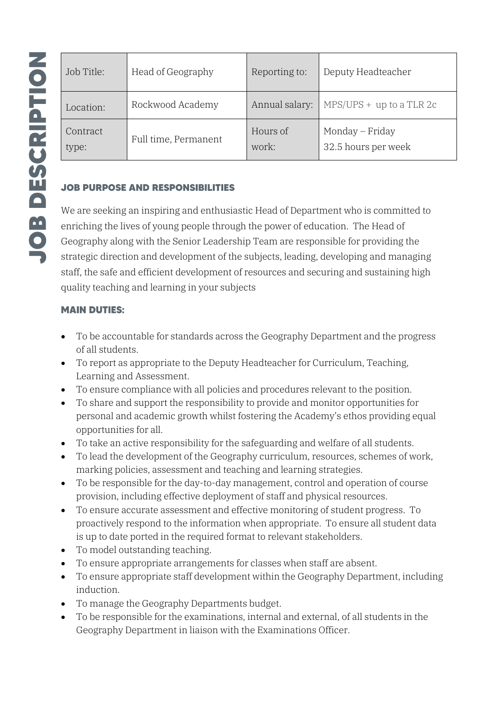| Job Title:        | Head of Geography    | Reporting to:     | Deputy Headteacher                     |  |
|-------------------|----------------------|-------------------|----------------------------------------|--|
| Location:         | Rockwood Academy     | Annual salary:    | $MPS/UPS + up to a TLR 2c$             |  |
| Contract<br>type: | Full time, Permanent | Hours of<br>work: | Monday - Friday<br>32.5 hours per week |  |

## **JOB PURPOSE AND RESPONSIBILITIES**

We are seeking an inspiring and enthusiastic Head of Department who is committed to enriching the lives of young people through the power of education. The Head of Geography along with the Senior Leadership Team are responsible for providing the strategic direction and development of the subjects, leading, developing and managing staff, the safe and efficient development of resources and securing and sustaining high quality teaching and learning in your subjects

### **MAIN DUTIES:**

- To be accountable for standards across the Geography Department and the progress of all students.
- To report as appropriate to the Deputy Headteacher for Curriculum, Teaching, Learning and Assessment.
- To ensure compliance with all policies and procedures relevant to the position.
- To share and support the responsibility to provide and monitor opportunities for personal and academic growth whilst fostering the Academy's ethos providing equal opportunities for all.
- To take an active responsibility for the safeguarding and welfare of all students.
- To lead the development of the Geography curriculum, resources, schemes of work, marking policies, assessment and teaching and learning strategies.
- To be responsible for the day-to-day management, control and operation of course provision, including effective deployment of staff and physical resources.
- To ensure accurate assessment and effective monitoring of student progress. To proactively respond to the information when appropriate. To ensure all student data is up to date ported in the required format to relevant stakeholders.
- To model outstanding teaching.
- To ensure appropriate arrangements for classes when staff are absent.
- To ensure appropriate staff development within the Geography Department, including induction.
- To manage the Geography Departments budget.
- To be responsible for the examinations, internal and external, of all students in the Geography Department in liaison with the Examinations Officer.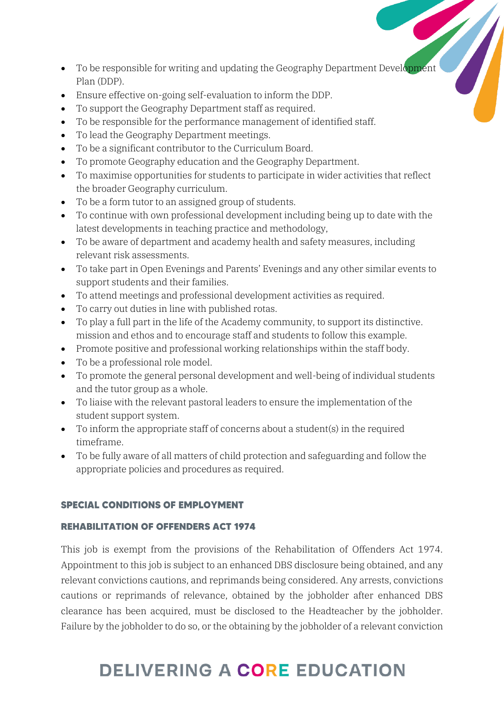- To be responsible for writing and updating the Geography Department Development Plan (DDP).
- Ensure effective on-going self-evaluation to inform the DDP.
- To support the Geography Department staff as required.
- To be responsible for the performance management of identified staff.
- To lead the Geography Department meetings.
- To be a significant contributor to the Curriculum Board.
- To promote Geography education and the Geography Department.
- To maximise opportunities for students to participate in wider activities that reflect the broader Geography curriculum.
- To be a form tutor to an assigned group of students.
- To continue with own professional development including being up to date with the latest developments in teaching practice and methodology,
- To be aware of department and academy health and safety measures, including relevant risk assessments.
- To take part in Open Evenings and Parents' Evenings and any other similar events to support students and their families.
- To attend meetings and professional development activities as required.
- To carry out duties in line with published rotas.
- To play a full part in the life of the Academy community, to support its distinctive. mission and ethos and to encourage staff and students to follow this example.
- Promote positive and professional working relationships within the staff body.
- To be a professional role model.
- To promote the general personal development and well-being of individual students and the tutor group as a whole.
- To liaise with the relevant pastoral leaders to ensure the implementation of the student support system.
- To inform the appropriate staff of concerns about a student(s) in the required timeframe.
- To be fully aware of all matters of child protection and safeguarding and follow the appropriate policies and procedures as required.

### **SPECIAL CONDITIONS OF EMPLOYMENT**

### **REHABILITATION OF OFFENDERS ACT 1974**

This job is exempt from the provisions of the Rehabilitation of Offenders Act 1974. Appointment to this job is subject to an enhanced DBS disclosure being obtained, and any relevant convictions cautions, and reprimands being considered. Any arrests, convictions cautions or reprimands of relevance, obtained by the jobholder after enhanced DBS clearance has been acquired, must be disclosed to the Headteacher by the jobholder. Failure by the jobholder to do so, or the obtaining by the jobholder of a relevant conviction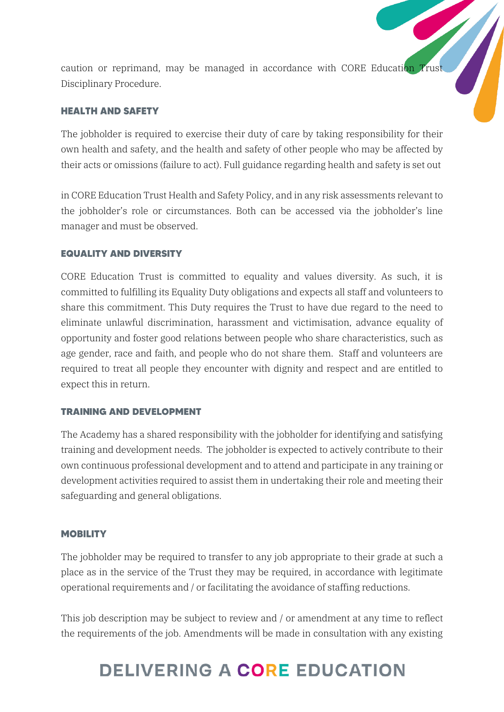caution or reprimand, may be managed in accordance with CORE Education Trust Disciplinary Procedure.

#### **HEALTH AND SAFETY**

The jobholder is required to exercise their duty of care by taking responsibility for their own health and safety, and the health and safety of other people who may be affected by their acts or omissions (failure to act). Full guidance regarding health and safety is set out

in CORE Education Trust Health and Safety Policy, and in any risk assessments relevant to the jobholder's role or circumstances. Both can be accessed via the jobholder's line manager and must be observed.

#### **EQUALITY AND DIVERSITY**

CORE Education Trust is committed to equality and values diversity. As such, it is committed to fulfilling its Equality Duty obligations and expects all staff and volunteers to share this commitment. This Duty requires the Trust to have due regard to the need to eliminate unlawful discrimination, harassment and victimisation, advance equality of opportunity and foster good relations between people who share characteristics, such as age gender, race and faith, and people who do not share them. Staff and volunteers are required to treat all people they encounter with dignity and respect and are entitled to expect this in return.

#### **TRAINING AND DEVELOPMENT**

The Academy has a shared responsibility with the jobholder for identifying and satisfying training and development needs. The jobholder is expected to actively contribute to their own continuous professional development and to attend and participate in any training or development activities required to assist them in undertaking their role and meeting their safeguarding and general obligations.

#### **MOBILITY**

The jobholder may be required to transfer to any job appropriate to their grade at such a place as in the service of the Trust they may be required, in accordance with legitimate operational requirements and / or facilitating the avoidance of staffing reductions.

This job description may be subject to review and / or amendment at any time to reflect the requirements of the job. Amendments will be made in consultation with any existing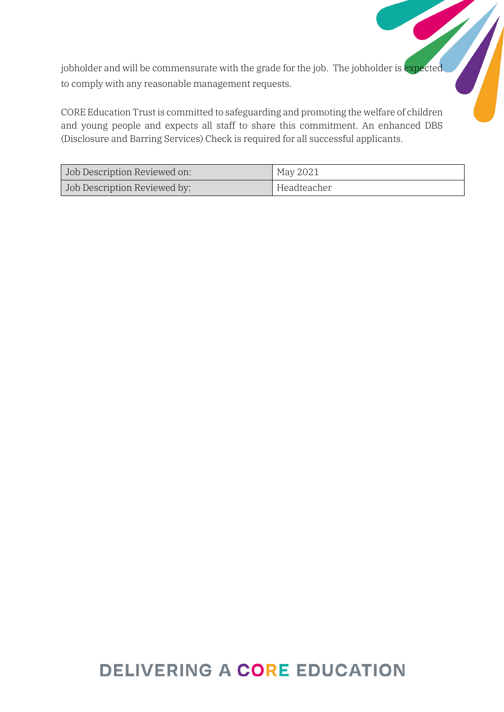jobholder and will be commensurate with the grade for the job. The jobholder is expected to comply with any reasonable management requests.

CORE Education Trust is committed to safeguarding and promoting the welfare of children and young people and expects all staff to share this commitment. An enhanced DBS (Disclosure and Barring Services) Check is required for all successful applicants.

| Job Description Reviewed on: | May 2021    |
|------------------------------|-------------|
| Job Description Reviewed by: | Headteacher |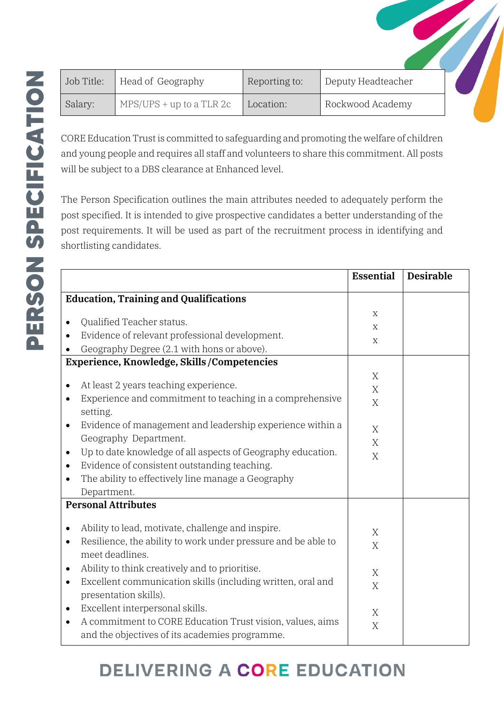| Job Title: | Head of Geography          | Reporting to: | Deputy Headteacher |  |
|------------|----------------------------|---------------|--------------------|--|
| Salary:    | $MPS/UPS + up to a TLR 2c$ | Location:     | Rockwood Academy   |  |

CORE Education Trust is committed to safeguarding and promoting the welfare of children and young people and requires all staff and volunteers to share this commitment. All posts will be subject to a DBS clearance at Enhanced level.

The Person Specification outlines the main attributes needed to adequately perform the post specified. It is intended to give prospective candidates a better understanding of the post requirements. It will be used as part of the recruitment process in identifying and shortlisting candidates.

|                                                                            | <b>Essential</b> | <b>Desirable</b> |
|----------------------------------------------------------------------------|------------------|------------------|
| <b>Education, Training and Qualifications</b>                              |                  |                  |
|                                                                            | $\mathbf X$      |                  |
| Qualified Teacher status.<br>$\bullet$                                     | $\mathbf X$      |                  |
| Evidence of relevant professional development.                             | X                |                  |
| Geography Degree (2.1 with hons or above).                                 |                  |                  |
| Experience, Knowledge, Skills / Competencies                               |                  |                  |
|                                                                            | X                |                  |
| At least 2 years teaching experience.<br>٠                                 | X                |                  |
| Experience and commitment to teaching in a comprehensive                   | X                |                  |
| setting.                                                                   |                  |                  |
| Evidence of management and leadership experience within a<br>$\bullet$     | X                |                  |
| Geography Department.                                                      | X                |                  |
| Up to date knowledge of all aspects of Geography education.<br>$\bullet$   | X                |                  |
| Evidence of consistent outstanding teaching.                               |                  |                  |
| The ability to effectively line manage a Geography                         |                  |                  |
| Department.                                                                |                  |                  |
| <b>Personal Attributes</b>                                                 |                  |                  |
| Ability to lead, motivate, challenge and inspire.<br>$\bullet$             | X                |                  |
| Resilience, the ability to work under pressure and be able to<br>$\bullet$ | X                |                  |
| meet deadlines.                                                            |                  |                  |
| Ability to think creatively and to prioritise.<br>$\bullet$                | X                |                  |
| Excellent communication skills (including written, oral and<br>$\bullet$   | X                |                  |
| presentation skills).                                                      |                  |                  |
| Excellent interpersonal skills.<br>$\bullet$                               | X                |                  |
| A commitment to CORE Education Trust vision, values, aims                  | X                |                  |
| and the objectives of its academies programme.                             |                  |                  |